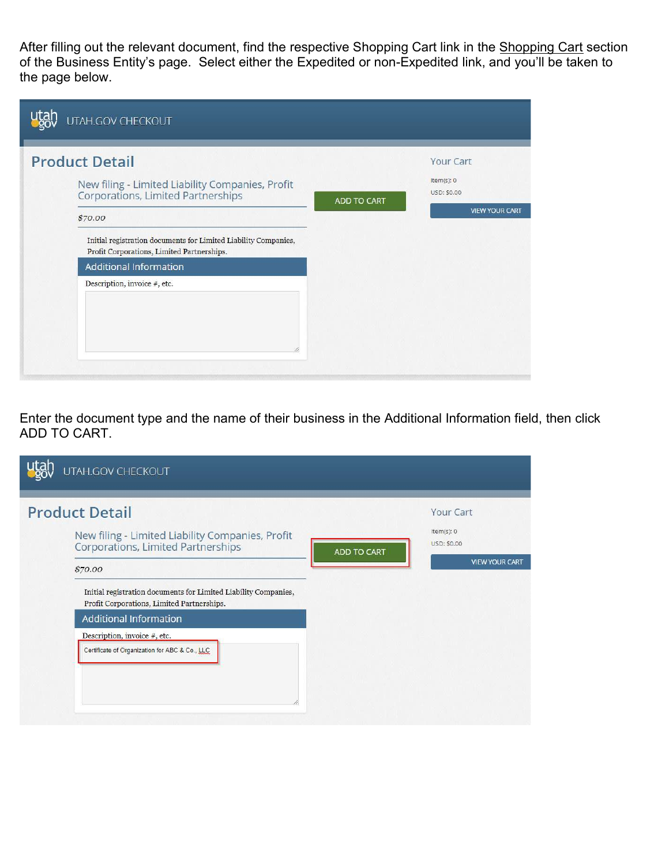After filling out the relevant document, find the respective Shopping Cart link in the Shopping Cart section of the Business Entity's page. Select either the Expedited or non-Expedited link, and you'll be taken to the page below.

| UTAH.GOV CHECKOUT                                                                                                                                                                                                                                                                                            |                    |                                                                 |
|--------------------------------------------------------------------------------------------------------------------------------------------------------------------------------------------------------------------------------------------------------------------------------------------------------------|--------------------|-----------------------------------------------------------------|
| <b>Product Detail</b><br>New filing - Limited Liability Companies, Profit<br>Corporations, Limited Partnerships<br>\$70.00<br>Initial registration documents for Limited Liability Companies,<br>Profit Corporations, Limited Partnerships.<br><b>Additional Information</b><br>Description, invoice #, etc. | <b>ADD TO CART</b> | Your Cart<br>Item(s): 0<br>USD: \$0.00<br><b>VIEW YOUR CART</b> |

Enter the document type and the name of their business in the Additional Information field, then click ADD TO CART.

| UTAH.GOV CHECKOUT                                                                                             |                    |                           |
|---------------------------------------------------------------------------------------------------------------|--------------------|---------------------------|
| <b>Product Detail</b>                                                                                         |                    | <b>Your Cart</b>          |
| New filing - Limited Liability Companies, Profit<br><b>Corporations, Limited Partnerships</b>                 | <b>ADD TO CART</b> | Item(s): 0<br>USD: \$0.00 |
| \$70.00                                                                                                       |                    | <b>VIEW YOUR CART</b>     |
| Initial registration documents for Limited Liability Companies,<br>Profit Corporations, Limited Partnerships. |                    |                           |
| <b>Additional Information</b>                                                                                 |                    |                           |
| Description, invoice #, etc.                                                                                  |                    |                           |
| Certificate of Organization for ABC & Co., LLC                                                                |                    |                           |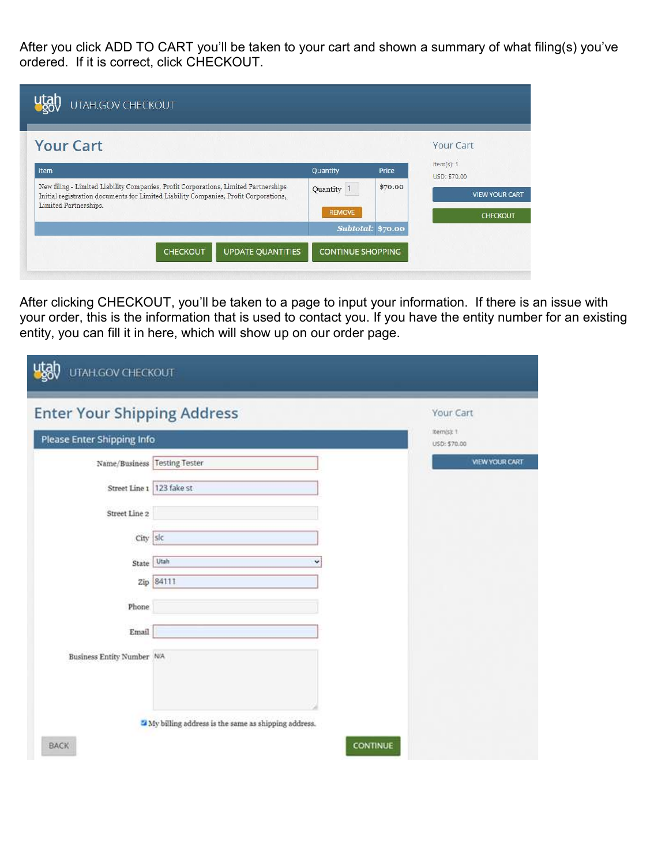After you click ADD TO CART you'll be taken to your cart and shown a summary of what filing(s) you've ordered. If it is correct, click CHECKOUT.

| <b>Your Cart</b>                                                                                                                                                                                     |               |                   | Your Cart                  |
|------------------------------------------------------------------------------------------------------------------------------------------------------------------------------------------------------|---------------|-------------------|----------------------------|
| Item                                                                                                                                                                                                 | Quantity      | Price             | Item(s): 1<br>USD: \$70.00 |
| New filing - Limited Liability Companies, Profit Corporations, Limited Partnerships<br>Initial registration documents for Limited Liability Companies, Profit Corporations,<br>Limited Partnerships. | Quantity 1    | \$70.00           | <b>VIEW YOUR CART</b>      |
|                                                                                                                                                                                                      | <b>REMOVE</b> | Subtotal: \$70.00 | <b>CHECKOUT</b>            |

After clicking CHECKOUT, you'll be taken to a page to input your information. If there is an issue with your order, this is the information that is used to contact you. If you have the entity number for an existing entity, you can fill it in here, which will show up on our order page.

| <b>Enter Your Shipping Address</b> |                                                                  | Your Cart                  |
|------------------------------------|------------------------------------------------------------------|----------------------------|
| Please Enter Shipping Info         |                                                                  | item(s): 1<br>USD: \$70.00 |
| Name/Business                      | <b>Testing Tester</b>                                            | <b>VIEW YOUR CART</b>      |
| Street Line 1 123 fake st          |                                                                  |                            |
| Street Line 2                      |                                                                  |                            |
| City   slc                         |                                                                  |                            |
| State                              | Utah<br>v                                                        |                            |
| Zip                                | 84111                                                            |                            |
| Phone.                             |                                                                  |                            |
| Email                              |                                                                  |                            |
| Business Entity Number N/A         |                                                                  |                            |
|                                    | <sup>2</sup> My billing address is the same as shipping address. |                            |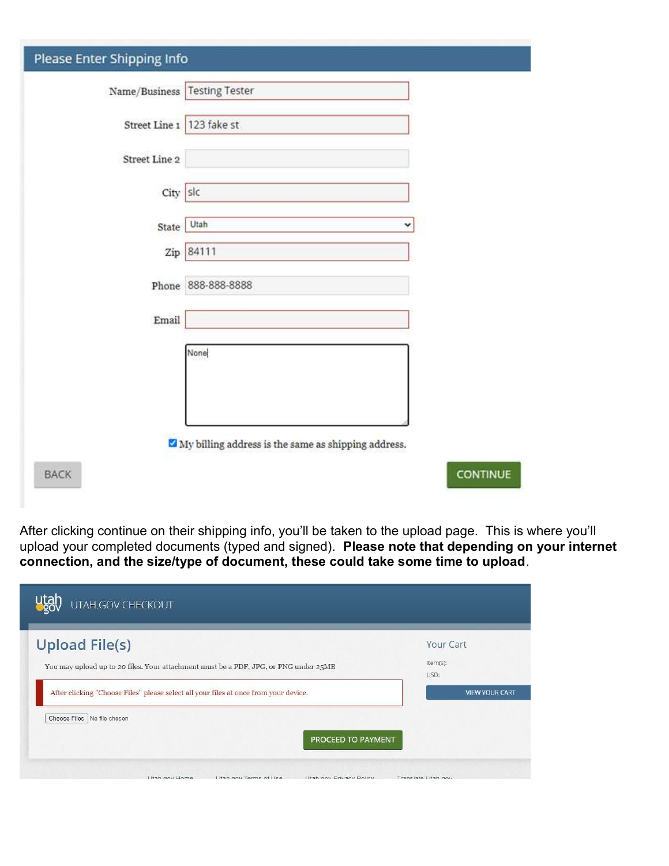| Please Enter Shipping Info   |                                                            |
|------------------------------|------------------------------------------------------------|
| Name/Business Testing Tester |                                                            |
| Street Line 1 123 fake st    |                                                            |
| Street Line 2                |                                                            |
| City slc                     |                                                            |
| State                        | Utah<br>v                                                  |
|                              | Zip 84111                                                  |
|                              | Phone 888-888-8888                                         |
| Email                        |                                                            |
|                              | None                                                       |
|                              |                                                            |
|                              |                                                            |
|                              | $\vee$ My billing address is the same as shipping address. |
| <b>BACK</b>                  | <b>CONTINUE</b>                                            |

After clicking continue on their shipping info, you'll be taken to the upload page. This is where you'll upload your completed documents (typed and signed). Please note that depending on your internet connection, and the size/type of document, these could take some time to upload.

| <b>Upload File(s)</b>                                                                | Your Cart             |
|--------------------------------------------------------------------------------------|-----------------------|
| You may upload up to 20 files. Your attachment must be a PDF, JPG, or PNG under 25MB | Item(s):<br>USD:      |
| After clicking "Choose Files" please select all your files at once from your device. | <b>VIEW YOUR CART</b> |
| Choose Files   No file chosen                                                        |                       |
| PROCEED TO PAYMENT                                                                   |                       |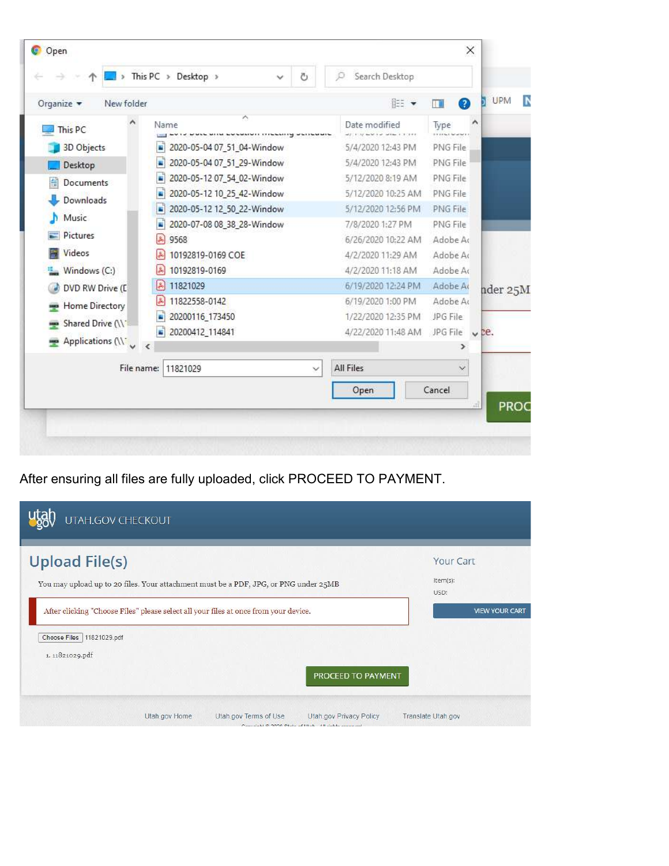| Organize $\blacktriangledown$<br>New folder |                                 | $E = \bullet$                                 | UPM<br>N<br>Ø<br>Œ                         |
|---------------------------------------------|---------------------------------|-----------------------------------------------|--------------------------------------------|
| This PC                                     | ۸<br>Name                       | Date modified<br>article worker when increas- | ٨<br>Type<br><b>International Property</b> |
| 3D Objects                                  | 2020-05-04 07_51_04-Window      | 5/4/2020 12:43 PM                             | PNG File                                   |
| Desktop                                     | 2020-05-04 07_51_29-Window      | 5/4/2020 12:43 PM                             | PNG File                                   |
| <b>Documents</b>                            | 2020-05-12 07_54_02-Window      | 5/12/2020 8:19 AM                             | <b>PNG File</b>                            |
| Downloads                                   | 2020-05-12 10_25_42-Window      | 5/12/2020 10:25 AM                            | PNG File                                   |
|                                             | 2020-05-12 12_50_22-Window<br>п | 5/12/2020 12:56 PM                            | PNG File                                   |
| Music                                       | 2020-07-08 08_38_28-Window      | 7/8/2020 1:27 PM                              | PNG File                                   |
| $\blacksquare$ Pictures                     | 9568                            | 6/26/2020 10:22 AM                            | Adobe Ac                                   |
| Videos                                      | 10192819-0169 COE               | 4/2/2020 11:29 AM                             | Adobe Ac                                   |
| Windows (C:)                                | 10192819-0169                   | 4/2/2020 11:18 AM                             | Adobe Ac                                   |
| DVD RW Drive (D                             | 11821029                        | 6/19/2020 12:24 PM                            | Adobe Ar<br>nder 25M                       |
| Home Directory                              | 11822558-0142                   | 6/19/2020 1:00 PM                             | Adobe Ac                                   |
| Shared Drive (\\"                           | 20200116_173450                 | 1/22/2020 12:35 PM                            | JPG File                                   |
|                                             | 20200412_114841                 | 4/22/2020 11:48 AM                            | JPG File $\sqrt{2e}$ .                     |
| Applications (\\                            | $\epsilon$                      |                                               | >                                          |
| File name:                                  | 11821029<br>$\checkmark$        | All Files                                     | $\checkmark$                               |
|                                             |                                 | Open                                          | Cancel                                     |
|                                             |                                 |                                               | PROC<br>वों                                |

After ensuring all files are fully uploaded, click PROCEED TO PAYMENT.

| UTAH.GOV CHECKOUT                                                                                                          |                               |
|----------------------------------------------------------------------------------------------------------------------------|-------------------------------|
| <b>Upload File(s)</b><br>You may upload up to 20 files. Your attachment must be a PDF, JPG, or PNG under 25MB              | Your Cart<br>Item(s):<br>USD: |
| After clicking "Choose Files" please select all your files at once from your device.<br>Choose Files   11821029.pdf        | <b>VIEW YOUR CART</b>         |
| 1.11821029.pdf<br>PROCEED TO PAYMENT                                                                                       |                               |
| Utah.gov Home<br>Utah gov Terms of Use<br>Utah.gov Privacy Policy<br>Convenibility 2020 State of Utals All rights reported | Translate Utah.gov            |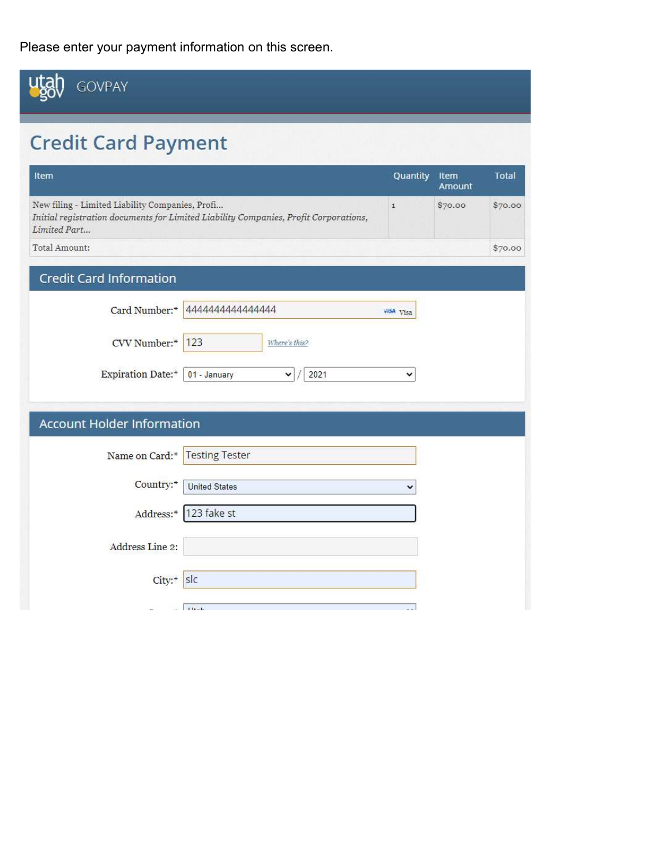Please enter your payment information on this screen.

| <b>GOVPAY</b>                                                   |                                                                                      |              |                |              |
|-----------------------------------------------------------------|--------------------------------------------------------------------------------------|--------------|----------------|--------------|
| <b>Credit Card Payment</b>                                      |                                                                                      |              |                |              |
| Item                                                            |                                                                                      | Quantity     | Item<br>Amount | <b>Total</b> |
| New filing - Limited Liability Companies, Profi<br>Limited Part | Initial registration documents for Limited Liability Companies, Profit Corporations, | $\mathbf{1}$ | \$70.00        | \$70.00      |
| Total Amount:                                                   |                                                                                      |              |                | \$70.00      |
| <b>Credit Card Information</b>                                  |                                                                                      |              |                |              |
| Card Number:*                                                   | 444444444444444                                                                      | visa Visa    |                |              |
| CVV Number:*                                                    | 123<br>Where's this?                                                                 |              |                |              |
| Expiration Date:*                                               | 01 - January<br>2021<br>v                                                            | v            |                |              |
| <b>Account Holder Information</b>                               |                                                                                      |              |                |              |
| Name on Card:*                                                  | <b>Testing Tester</b>                                                                |              |                |              |
| Country:*                                                       | <b>United States</b>                                                                 | $\checkmark$ |                |              |
| Address:*                                                       | 123 fake st                                                                          |              |                |              |
| Address Line 2:                                                 |                                                                                      |              |                |              |
| City:*                                                          | sic                                                                                  |              |                |              |
|                                                                 | $\mathbf{r}$ and $\mathbf{r}$                                                        |              |                |              |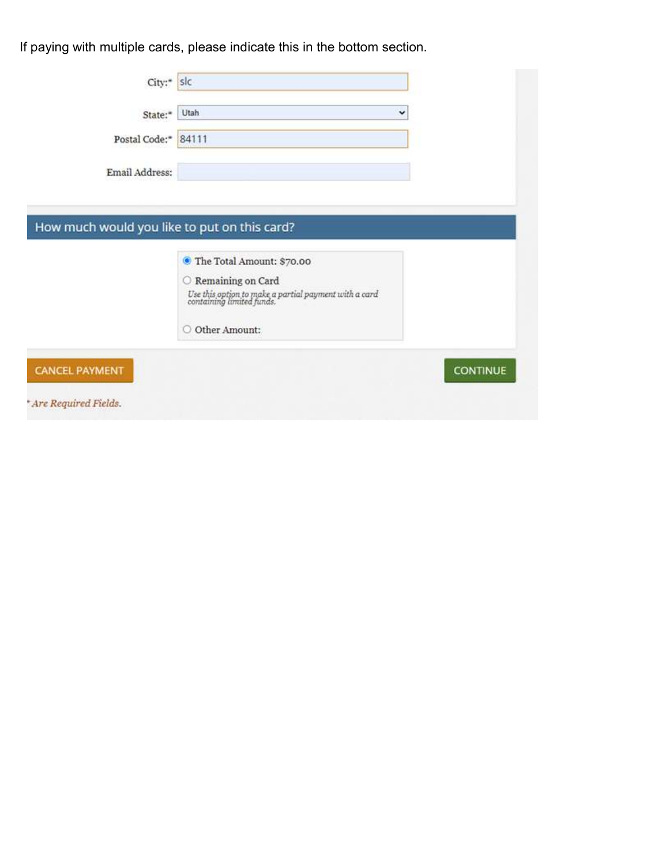If paying with multiple cards, please indicate this in the bottom section.

| State:*             | Utah                                                                                                               | v |
|---------------------|--------------------------------------------------------------------------------------------------------------------|---|
| Postal Code:* 84111 |                                                                                                                    |   |
| Email Address:      |                                                                                                                    |   |
|                     |                                                                                                                    |   |
|                     | How much would you like to put on this card?                                                                       |   |
|                     |                                                                                                                    |   |
|                     |                                                                                                                    |   |
|                     | <sup>●</sup> The Total Amount: \$70.00                                                                             |   |
|                     | $\bigcirc$ Remaining on Card<br>Use this option to make a partial payment with a card<br>containing limited funds. |   |
|                     | Other Amount:<br>O                                                                                                 |   |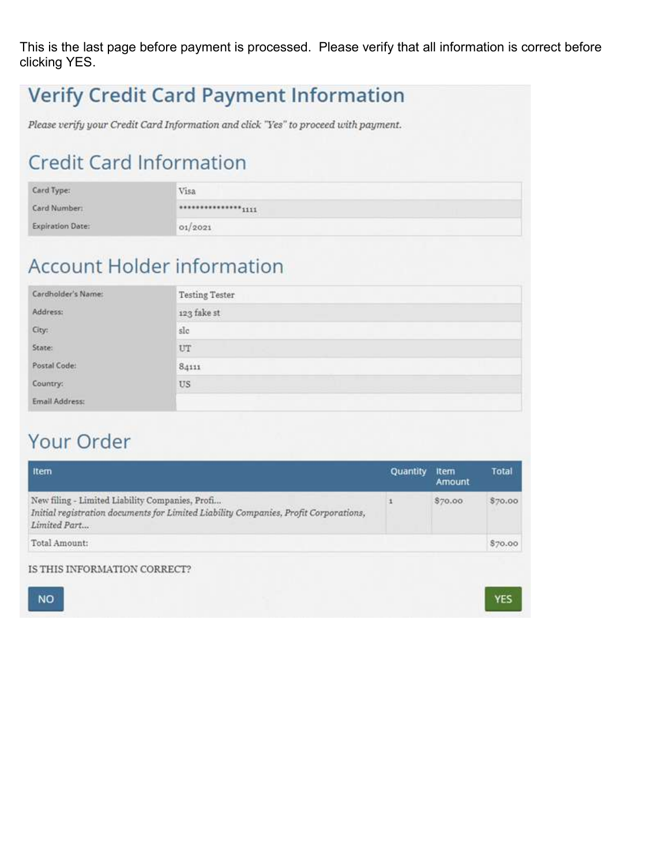This is the last page before payment is processed. Please verify that all information is correct before clicking YES.

|                                | <b>Verify Credit Card Payment Information</b><br>Please verify your Credit Card Information and click "Yes" to proceed with payment. |
|--------------------------------|--------------------------------------------------------------------------------------------------------------------------------------|
| <b>Credit Card Information</b> |                                                                                                                                      |
| Card Type:                     | Visa                                                                                                                                 |
| Card Number:                   | <sub>1111</sub>                                                                                                                      |
| <b>Expiration Date:</b>        | 01/2021                                                                                                                              |
| Cardholder's Name:             | <b>Account Holder information</b><br><b>Testing Tester</b>                                                                           |
| Address:                       | 123 fake st                                                                                                                          |
| City:                          | s!c                                                                                                                                  |
| State:                         | UT                                                                                                                                   |
| Postal Code:                   | 84111                                                                                                                                |
| Country:                       | US                                                                                                                                   |
| Email Address:                 |                                                                                                                                      |

## Your Order

| Amount  | Total   |
|---------|---------|
| \$70.00 | \$70.00 |
|         | \$70.00 |
|         |         |



YES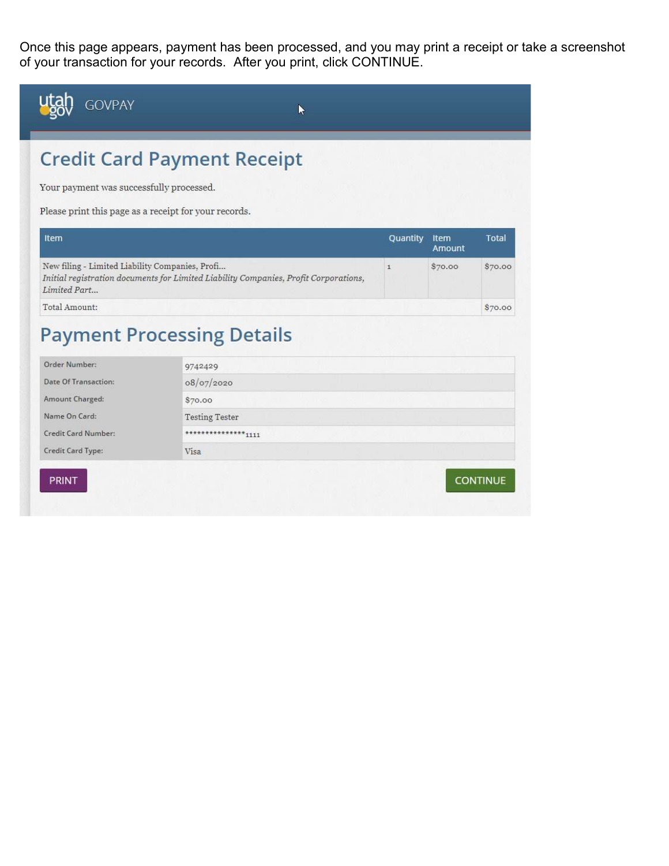Once this page appears, payment has been processed, and you may print a receipt or take a screenshot of your transaction for your records. After you print, click CONTINUE.